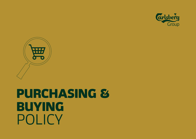



# PURCHASING & BUYING POLICY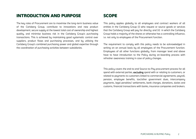## INTRODUCTION AND PURPOSE

The key roles of Procurement are to maximise the long-term business value of the Carlsberg Group, contribute to innovations and new product development, secure supply at the lowest total cost of ownership and highest quality, and minimise business risk in the Carlsberg Group's purchasing transactions. This is achieved by maintaining good systematic control over suppliers, product flows and purchasing processes, and by utilising the Carlsberg Group's combined purchasing power and global expertise through the coordination of purchasing activities between subsidiaries.

# SCOPE

This policy applies globally to all employees and contract workers of all entities in the Carlsberg Group (i) who request or source goods or services that the Carlsberg Group will pay for directly; and (ii) in which the Carlsberg Group holds a majority of the shares or otherwise has a controlling influence, i.e. not only to employees of the Procurement function.

The requirement to comply with this policy needs to be acknowledged in writing on an annual basis by all employees of the Procurement function. Employees of all other functions globally, from manager level and above have to have introduction to the Policy during on-boarding process with refresher awareness training in case of policy changes.

This policy covers the end-to-end Source-to-Pay procurement process for all spend with external parties, excluding spend with or relating to customers, or related to payments to customers linked to commercial agreements: payroll, pension, employee benefits, tax/other government dues, intercompany payments, legal penalties/ settlements, bank charges, donations, duties and customs, financial transactions with banks, insurance companies and brokers.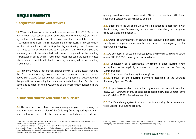## REQUIREMENTS

### 1. REQUESTING GOODS AND SERVICES

1.1. When purchases or projects with a valuel above EUR 100,000 (or the equivalent in local currency based on budget rate for the period) are known by the functional stakeholders, the Procurement function shall be contacted in written form to discuss their involvement in the process. The Procurement function will evaluate their participation by considering use of resources compared to savings potential and other relevant issues. However, a Sourcing Summary needs to be submitted and contract completed by the initiating stakeholder in cases where Procurement does not take the lead. In cases where Procurement takes the lead, a Sourcing Summary will be submitted by **Procurement** 

**1.2.** In regions where a Procurement Shared Services (PSS<sup>2</sup>) is established and th[e](#page-2-0) PSS provides sourcing services, when purchases or projects with a valuel above EUR 20,000 (or equivalent in local currency based on budget rate for the period) are known by the functional stakeholders, the PSS shall be contacted to align on the involvement of the Procurement function in the process.

#### 2. SOURCING PROCESS AND CHOICE OF SUPPLIER

**2.1.** The main selection criterium when choosing a supplier is maximising the long-term total business value of the Carlsberg Group by having long-term and uninterrupted access to the most suitable product/service, at defined

quality, lowest total cost of ownership (TCO), return on investment (ROI) and supporting Carlsberg's Sustainability agenda.

<span id="page-2-0"></span>**2.2.** Suppliers to the Carlsberg Group must be screened in accordance with the Carlsberg Group's screening requirements (anti-bribery & corruption, trade sanctions and financial).

2.3. Group Procurement will, on annual basis, conduct a risk assessment to identify critical supplies and/or suppliers and develop a contingency plan for them, where required.

2.4. All purchas[e](#page-2-0)s of direct and indirect goods and services with a total value above EUR 100,000 can only be concluded after:

**2.4.1.** Completion of a competitive (minimum 3 bids) sourcing event (exceptions to be explicitly explained and approved in the Sourcing Summary); and

**2.4.2.** Completion of a Sourcing Summary<sup>3</sup>; and

**2.4.3.** Approval of the Sourcing Summary according to the Sourcing Summary Approval Matrix. 4

**2.5.** All purchas[e](#page-2-0)s of direct and indirect goods and services with a value<sup>1</sup> below EUR 100,000 can only be concluded based on a PO and General Terms and Conditions (GTCs) issued to a supplier.

**2.6.** The E-tendering system (online competitive sourcing) is recommended to be used for all sourcing projects.

<sup>1</sup> Value means the total expected purchase sums ex VAT of the agreements with all third parties resulting from the tender event for which approval is sought

<sup>2</sup> PSS (Procurement Shared Services) also known as POC (Procurement Operating Center)

<sup>3</sup> In exceptional cases where the spend was initially anticipated to remain below the threshold (and therefore no Sourcing Summary was required) but the actual spend supersedes the threshold, the need for completing a sourcing summary can be waived by Legal on a case by case basis.

<sup>4</sup> Sourcing Summary Approval Matrix reflects the Chart of Authority (incl. four-eyes princple) for the entry into of third-party procurement contracts for the supply of goods and services globally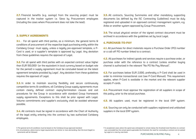2.7. Financial benefits (e.g. savings) from the sourcing project must be captured in the tracker system i.e. Sievo by Procurement employees (including the cases where Procurement does not take the lead).

#### 3. SUPPLY AGREEMENTS

**3.1.** For all spend with third parties, as a minimum, the general terms & conditions of procurement of the respective legal purchasing entity within the Carlsberg Group<sup>5</sup> must apply, unless a legally pre-approved template, a P-Card is used, or a supplier's template is approved by Legal. Any deviation from these guidelines requires the approval of Legal.

**3.2.** For all spend with third parties with an expected contract value higher than EUR 100,000<sup>6</sup> (or the equivalent in local currency based on budget rate for the period) a supply agreement must be concluded based on the latest agreement template provided by Legal<sup>7</sup>. Any deviation from these guidelines requires the approval of Legal.

**3.3.** In order to maintain sourcing flexibility and secure continuously competitive terms & conditions, all Carlsberg Group supply agreements must contain clearly defined contract expiry/termination clauses and exit procedures for the Group in accordance with standard Group framework supply agreements. Exceptions to this shall be prior agreed with Legal. Volume commitments and supplier's exclusivity shall be avoided whenever possible.

**3.4.** All contracts must be signed in accordance with the Chart of Authority of the legal entity entering into the contract by two authorized Carlsberg emplouees.

**3.5.** All contracts, Sourcing Summaries and other mandatory supporting documents (as defined by the ISC Contracting Guidelines) must be duly registered and uploaded in an approved contract management system, e.g. Ariba or another system approved by Group Procurement.

**3.6.** The actual physical version of the signed contract document must be archived in accordance with the guidelines set by local Legal.

## 4. PURCHASE-TO-PAY

4.1. All purchases for direct materials require a Purchase Order (PO) number or a call-off PO number linked to a contract.

4.2. All purchases for indirect goods and services require a purchase order, or purchase order with the reference to a contract (unless another buying channel is authorized in the relevant "No PO No Pay Manual".

4.3. For purchases below EUR 2,000, preferably a P-Card shall be used in order to minimize transactional cost (see P-Card Manual). This requirement applies, when P-Card is available in the market and the relevant supplier accepts P-cards.

4.4. Procurement must approve the registration of all suppliers in scope of this policy, prior to the actual purchase.

4.5. All suppliers used, must be registered in the local ERP system.

4.6. Sourcing can only be conducted with suppliers registered and unblocked suppliers in the local ERP sustem.

<sup>5</sup> The general terms & conditions must be based on the Carlsberg Group approved standard

<sup>6</sup> In circumstances, where local or legal requirements are stricter or more demanding, then the local (legal) requirements will be followed.

<sup>7</sup> In exceptional cases where the spend was anticipated to remain below the threshold (and therefore no contract was concluded) but the actual spend supersedes the threshold, the need for concluding a contract can be waived by Legal on a case by case basis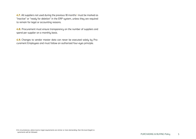4.7. All suppliers not used during the previous 18 months<sup>8</sup> must be marked as "inactive" or "ready for deletion" in the ERP system, unless they are required to remain for legal or accounting reasons.

4.8. Procurement must ensure transparency on the number of suppliers and spend per supplier on a monthly basis.

4.9. Changes to vendor master data can never be executed solely by Procurement Employees and must follow an authorized four-eyes principle.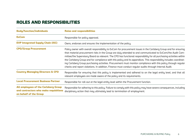# ROLES AND RESPONSIBILITIES

| <b>Body/function/individuals</b>                                                                               | <b>Roles and responsibilities</b>                                                                                                                                                                                                                                                                                                                                                                                                                                                                                                                                                                                                                                                                          |
|----------------------------------------------------------------------------------------------------------------|------------------------------------------------------------------------------------------------------------------------------------------------------------------------------------------------------------------------------------------------------------------------------------------------------------------------------------------------------------------------------------------------------------------------------------------------------------------------------------------------------------------------------------------------------------------------------------------------------------------------------------------------------------------------------------------------------------|
| <b>ExCom</b>                                                                                                   | Responsible for policy approval.                                                                                                                                                                                                                                                                                                                                                                                                                                                                                                                                                                                                                                                                           |
| <b>EVP Integrated Supply Chain (ISC)</b>                                                                       | Owns, endorses and ensures the implementation of the policy.                                                                                                                                                                                                                                                                                                                                                                                                                                                                                                                                                                                                                                               |
| <b>CPO/Group Procurement</b>                                                                                   | Policy owner with overall responsibility to ExCom for procurement issues in the Carlsberg Group and for ensuring<br>that material procurement risks in the Group are duly attended to and communicated to ExCom/the Audit Com-<br>mittee/the Supervisory Board as relevant. The CPO has functional responsibility for all purchasing activities within<br>the Carlsberg Group and for compliance with this policy and its appendices. This responsibility includes coordinat-<br>ing Carlsberg Group purchasing activities. Procurement must monitor compliance with this policy through regular<br>checks and report violations. In addition, Finance must conduct regular audits through Internal Audit. |
| <b>Country Managing Directors &amp; CFO</b>                                                                    | Responsible for ensuring that this policy is implemented and adhered to on the legal entity level, and that all<br>relevant employees are made aware of the policy and its requirements.                                                                                                                                                                                                                                                                                                                                                                                                                                                                                                                   |
| <b>Local Procurement Business Partner</b>                                                                      | Responsible for roll-out at the legal entity level within the Procurement function.                                                                                                                                                                                                                                                                                                                                                                                                                                                                                                                                                                                                                        |
| <b>All employees of the Carlsberg Group</b><br>and contractors who make requisitions<br>on behalf of the Group | Responsible for adhering to this policy. Failure to comply with this policy may have severe consequences, including<br>disciplinary action that may ultimately lead to termination of employment.                                                                                                                                                                                                                                                                                                                                                                                                                                                                                                          |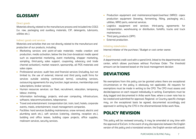## **GLOSSARY**

## Direct goods

Materials directly related to the manufacture process and included into COGS (i.e. raw, packaging and auxiliary materials, CIP, detergents, lubricants, utilities etc.).

#### Indirect goods and services

Materials and activities that are not directly related to the manufacture and production of our products, including:

- Marketing services and point-of-sale materials: media creation and production, media activation, below the line (non-broadcast media spend such as experiential marketing, event marketing, shopper marketing, sampling, third-party sales support, couponing, advocacy and trade channel activation), market research, sponsorship, all POS materials and sales capex.
- Professional services: audit fees and financial services (including, but not limited to, the use of external, internal and third party audit firms for services outside existing contractual terms), consulting services, outsourcing agreements for any function, legal services, memberships and subscriptions, broker services.
- Human resources services: car fleet, recruitment, relocation, temporary labour, training.
- Information technology: projects, end-user computing, infrastructure, software, telecommunications, telepresence.
- Travel and entertainment: transportation (air, train, taxi), hotels, corporate events, meals, entertainment, travel management companies.
- Facilities: hard services (building maintenance, snow removal, electric and plumbing work etc.), soft services (catering, cleaning, reception etc.), building and office leases, building capex projects, office supplies, mailroom services, security services.
- Production equipment and maintenance/repair/overhaul (MRO): capex production equipment (brewing, fermenting, filling, packaging etc.), utilities, MRO parts, external services.
- Logistics equipment and services: third-party agreements for transportation, warehousing or distribution, forklifts, trucks and truck maintenance.
- Third party products (3PP).
- External production.

## Initiating stakeholders

Internal initiator of the purchase / Budget or cost center owner.

## P-Card

A departmental credit card with a spend limit, linked to the departmental cost center, which allows purchases without Purchase Order. The threshold amount can be lowered based on the local management decision

# DEVIATIONS

No exemptions from this policy can be granted unless there are exceptional circumstances or the policy is obviously not applicable. All requests for exemptions must be made in writing to the CPO. The CPO must assess and decide/approve on each request individually in writing. Exemptions must be duly logged and documented in Ariba work flow, where a cover note has to be created and submitted for approval. Regional- or Country-specific changes may, on the exceptional basis be agreed, documented accordingly and approved in writing by the CPO in the aforementioned Ariba work flow..

# POLICY REVISION

This policy will be reviewed annually. It may be amended at any time with the approval of ExCom. In the event of any discrepancies between the English version of this policy and a translated version, the English version will prevail.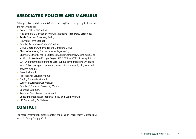# ASSOCIATED POLICIES AND MANUALS

Other policies (and documents) with a strong link to this policy include, but are not limited to:

- Code of Ethics & Conduct
- Anti-Bribery & Corruption Manual (including Third Party Screening)
- Trade Sanction Screening Policy
- Payment Term Manual
- Supplier & Licensee Code of Conduct
- Group Chart of Authority for the Carlsberg Group
- Chart of Authority for the relevant legal entity
- Chart of Authority for (i) Carlsberg Supply Company AG and supply operations in Western Europe Region; (ii) OPEX for CSC; (iii) entry into of CAPEX agreements relating to local supply companies; and (iv) entry into of third party procurement contracts for the supply of goods and services aloballu
- P-card Manual
- Professional Services Manual
- Buuing Channels Manual
- Western European Car Manual
- Suppliers' Financial Screening Manual
- Sourcing Summary
- Personal Data Protection Manual
- Legal and Intellectual Property Policy and Legal Manual
- ISC Contracting Guidelines

# CONTACT

For more information, please contact the CPO or Procurement Category Director in Group Supply Chain.